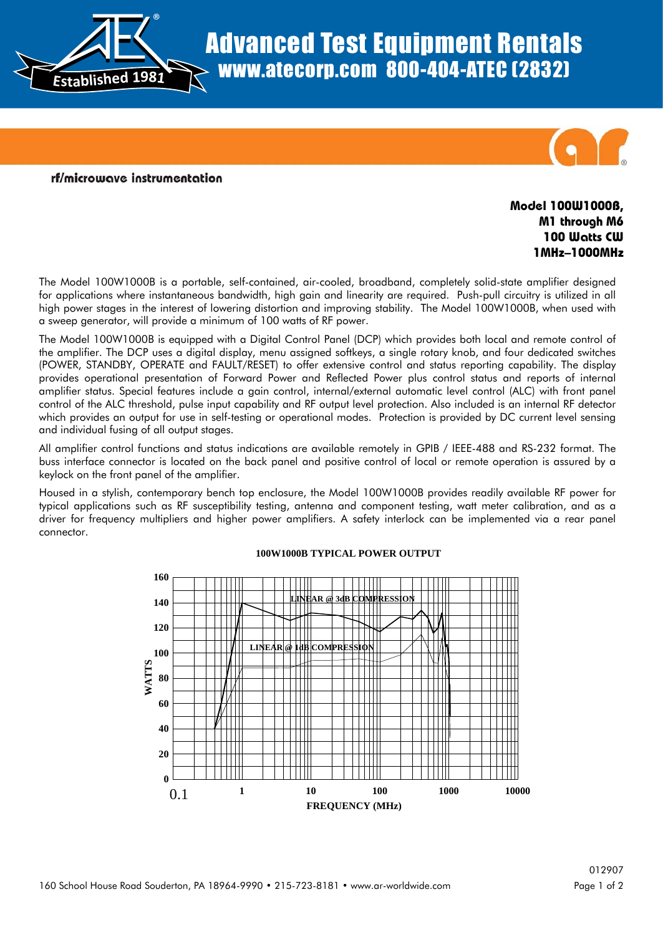

# Advanced Test Equipment Rentals www.atecorp.com 800-404-ATEC (2832)



#### rf/microwave instrumentation

## **Model 100W1000B, M1 through M6 100 Watts CW 1MHz–1000MHz**

The Model 100W1000B is a portable, self-contained, air-cooled, broadband, completely solid-state amplifier designed for applications where instantaneous bandwidth, high gain and linearity are required. Push-pull circuitry is utilized in all high power stages in the interest of lowering distortion and improving stability. The Model 100W1000B, when used with a sweep generator, will provide a minimum of 100 watts of RF power.

The Model 100W1000B is equipped with a Digital Control Panel (DCP) which provides both local and remote control of the amplifier. The DCP uses a digital display, menu assigned softkeys, a single rotary knob, and four dedicated switches (POWER, STANDBY, OPERATE and FAULT/RESET) to offer extensive control and status reporting capability. The display provides operational presentation of Forward Power and Reflected Power plus control status and reports of internal amplifier status. Special features include a gain control, internal/external automatic level control (ALC) with front panel control of the ALC threshold, pulse input capability and RF output level protection. Also included is an internal RF detector which provides an output for use in self-testing or operational modes. Protection is provided by DC current level sensing and individual fusing of all output stages.

All amplifier control functions and status indications are available remotely in GPIB / IEEE-488 and RS-232 format. The buss interface connector is located on the back panel and positive control of local or remote operation is assured by a keylock on the front panel of the amplifier.

Housed in a stylish, contemporary bench top enclosure, the Model 100W1000B provides readily available RF power for typical applications such as RF susceptibility testing, antenna and component testing, watt meter calibration, and as a driver for frequency multipliers and higher power amplifiers. A safety interlock can be implemented via a rear panel connector.



#### **100W1000B TYPICAL POWER OUTPUT**